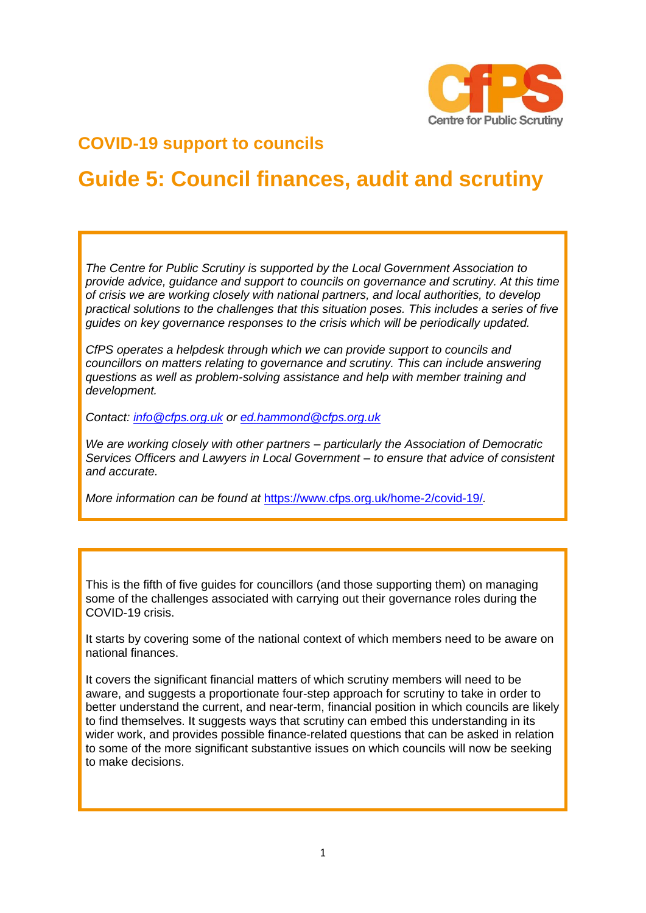

# **COVID-19 support to councils**

# **Guide 5: Council finances, audit and scrutiny**

*The Centre for Public Scrutiny is supported by the Local Government Association to provide advice, guidance and support to councils on governance and scrutiny. At this time of crisis we are working closely with national partners, and local authorities, to develop practical solutions to the challenges that this situation poses. This includes a series of five guides on key governance responses to the crisis which will be periodically updated.*

*CfPS operates a helpdesk through which we can provide support to councils and councillors on matters relating to governance and scrutiny. This can include answering questions as well as problem-solving assistance and help with member training and development.* 

*Contact: [info@cfps.org.uk](mailto:info@cfps.org.uk) or [ed.hammond@cfps.org.uk](mailto:ed.hammond@cfps.org.uk)* 

*We are working closely with other partners – particularly the Association of Democratic Services Officers and Lawyers in Local Government – to ensure that advice of consistent and accurate.* 

*More information can be found at* <https://www.cfps.org.uk/home-2/covid-19/>*.* 

This is the fifth of five guides for councillors (and those supporting them) on managing some of the challenges associated with carrying out their governance roles during the COVID-19 crisis.

It starts by covering some of the national context of which members need to be aware on national finances.

It covers the significant financial matters of which scrutiny members will need to be aware, and suggests a proportionate four-step approach for scrutiny to take in order to better understand the current, and near-term, financial position in which councils are likely to find themselves. It suggests ways that scrutiny can embed this understanding in its wider work, and provides possible finance-related questions that can be asked in relation to some of the more significant substantive issues on which councils will now be seeking to make decisions.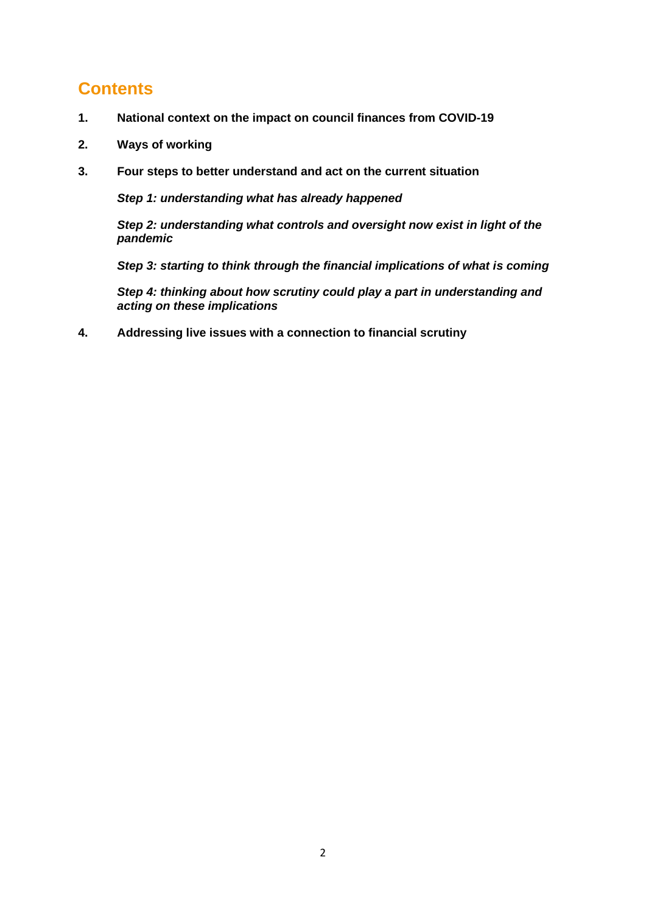# **Contents**

- **1. National context on the impact on council finances from COVID-19**
- **2. Ways of working**
- **3. Four steps to better understand and act on the current situation**

*Step 1: understanding what has already happened*

*Step 2: understanding what controls and oversight now exist in light of the pandemic*

*Step 3: starting to think through the financial implications of what is coming*

*Step 4: thinking about how scrutiny could play a part in understanding and acting on these implications*

**4. Addressing live issues with a connection to financial scrutiny**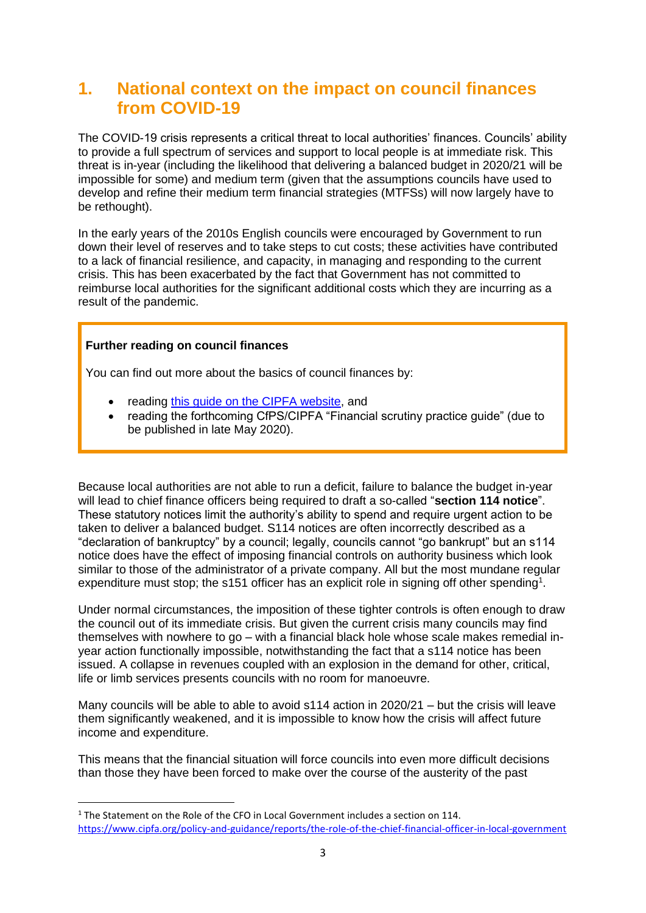# **1. National context on the impact on council finances from COVID-19**

The COVID-19 crisis represents a critical threat to local authorities' finances. Councils' ability to provide a full spectrum of services and support to local people is at immediate risk. This threat is in-year (including the likelihood that delivering a balanced budget in 2020/21 will be impossible for some) and medium term (given that the assumptions councils have used to develop and refine their medium term financial strategies (MTFSs) will now largely have to be rethought).

In the early years of the 2010s English councils were encouraged by Government to run down their level of reserves and to take steps to cut costs; these activities have contributed to a lack of financial resilience, and capacity, in managing and responding to the current crisis. This has been exacerbated by the fact that Government has not committed to reimburse local authorities for the significant additional costs which they are incurring as a result of the pandemic.

### **Further reading on council finances**

You can find out more about the basics of council finances by:

- reading [this guide on the CIPFA website,](https://www.cipfa.org/policy-and-guidance/publications/a/an-introductory-guide-to-local-government-finance-2019) and
- reading the forthcoming CfPS/CIPFA "Financial scrutiny practice guide" (due to be published in late May 2020).

Because local authorities are not able to run a deficit, failure to balance the budget in-year will lead to chief finance officers being required to draft a so-called "**section 114 notice**". These statutory notices limit the authority's ability to spend and require urgent action to be taken to deliver a balanced budget. S114 notices are often incorrectly described as a "declaration of bankruptcy" by a council; legally, councils cannot "go bankrupt" but an s114 notice does have the effect of imposing financial controls on authority business which look similar to those of the administrator of a private company. All but the most mundane regular expenditure must stop; the s151 officer has an explicit role in signing off other spending<sup>1</sup>.

Under normal circumstances, the imposition of these tighter controls is often enough to draw the council out of its immediate crisis. But given the current crisis many councils may find themselves with nowhere to go – with a financial black hole whose scale makes remedial inyear action functionally impossible, notwithstanding the fact that a s114 notice has been issued. A collapse in revenues coupled with an explosion in the demand for other, critical, life or limb services presents councils with no room for manoeuvre.

Many councils will be able to able to avoid s114 action in 2020/21 – but the crisis will leave them significantly weakened, and it is impossible to know how the crisis will affect future income and expenditure.

This means that the financial situation will force councils into even more difficult decisions than those they have been forced to make over the course of the austerity of the past

<sup>1</sup> The Statement on the Role of the CFO in Local Government includes a section on 114. <https://www.cipfa.org/policy-and-guidance/reports/the-role-of-the-chief-financial-officer-in-local-government>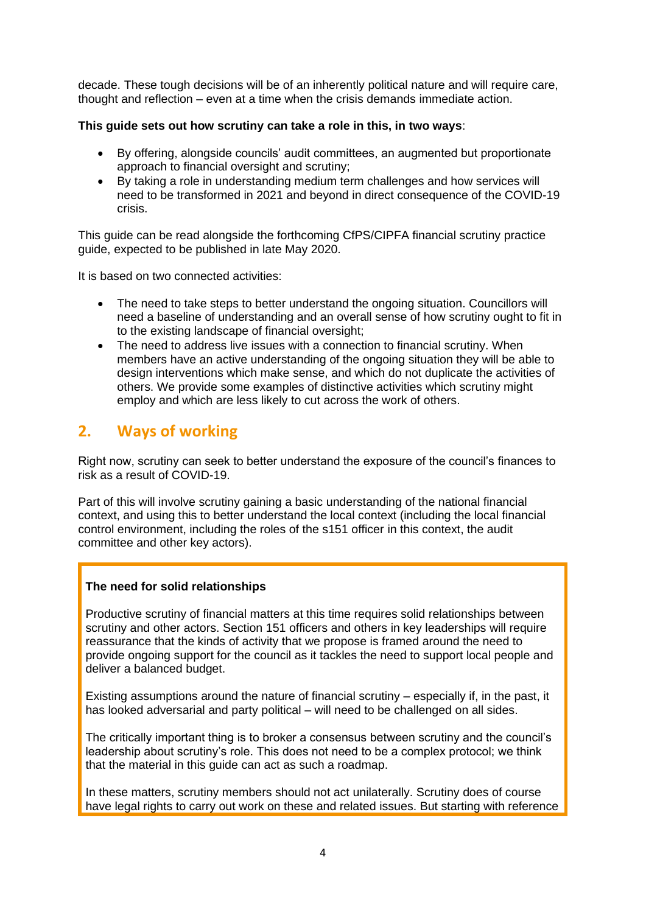decade. These tough decisions will be of an inherently political nature and will require care, thought and reflection – even at a time when the crisis demands immediate action.

### **This guide sets out how scrutiny can take a role in this, in two ways**:

- By offering, alongside councils' audit committees, an augmented but proportionate approach to financial oversight and scrutiny;
- By taking a role in understanding medium term challenges and how services will need to be transformed in 2021 and beyond in direct consequence of the COVID-19 crisis.

This guide can be read alongside the forthcoming CfPS/CIPFA financial scrutiny practice guide, expected to be published in late May 2020.

It is based on two connected activities:

- The need to take steps to better understand the ongoing situation. Councillors will need a baseline of understanding and an overall sense of how scrutiny ought to fit in to the existing landscape of financial oversight;
- The need to address live issues with a connection to financial scrutiny. When members have an active understanding of the ongoing situation they will be able to design interventions which make sense, and which do not duplicate the activities of others. We provide some examples of distinctive activities which scrutiny might employ and which are less likely to cut across the work of others.

### **2. Ways of working**

Right now, scrutiny can seek to better understand the exposure of the council's finances to risk as a result of COVID-19.

Part of this will involve scrutiny gaining a basic understanding of the national financial context, and using this to better understand the local context (including the local financial control environment, including the roles of the s151 officer in this context, the audit committee and other key actors).

### **The need for solid relationships**

Productive scrutiny of financial matters at this time requires solid relationships between scrutiny and other actors. Section 151 officers and others in key leaderships will require reassurance that the kinds of activity that we propose is framed around the need to provide ongoing support for the council as it tackles the need to support local people and deliver a balanced budget.

Existing assumptions around the nature of financial scrutiny – especially if, in the past, it has looked adversarial and party political – will need to be challenged on all sides.

The critically important thing is to broker a consensus between scrutiny and the council's leadership about scrutiny's role. This does not need to be a complex protocol; we think that the material in this guide can act as such a roadmap.

In these matters, scrutiny members should not act unilaterally. Scrutiny does of course have legal rights to carry out work on these and related issues. But starting with reference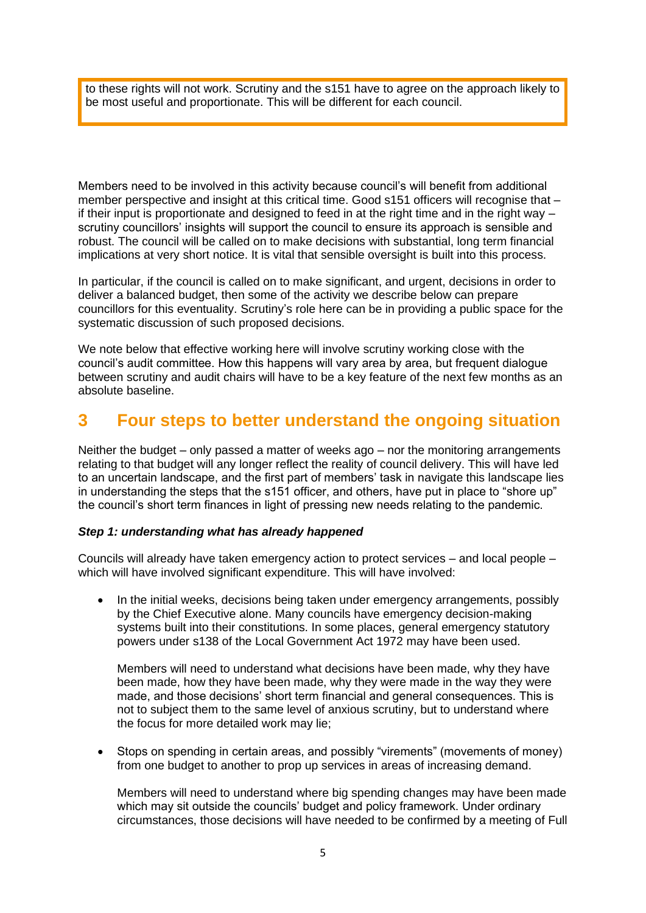to these rights will not work. Scrutiny and the s151 have to agree on the approach likely to be most useful and proportionate. This will be different for each council.

Members need to be involved in this activity because council's will benefit from additional member perspective and insight at this critical time. Good s151 officers will recognise that – if their input is proportionate and designed to feed in at the right time and in the right way  $$ scrutiny councillors' insights will support the council to ensure its approach is sensible and robust. The council will be called on to make decisions with substantial, long term financial implications at very short notice. It is vital that sensible oversight is built into this process.

In particular, if the council is called on to make significant, and urgent, decisions in order to deliver a balanced budget, then some of the activity we describe below can prepare councillors for this eventuality. Scrutiny's role here can be in providing a public space for the systematic discussion of such proposed decisions.

We note below that effective working here will involve scrutiny working close with the council's audit committee. How this happens will vary area by area, but frequent dialogue between scrutiny and audit chairs will have to be a key feature of the next few months as an absolute baseline.

### **3 Four steps to better understand the ongoing situation**

Neither the budget – only passed a matter of weeks ago – nor the monitoring arrangements relating to that budget will any longer reflect the reality of council delivery. This will have led to an uncertain landscape, and the first part of members' task in navigate this landscape lies in understanding the steps that the s151 officer, and others, have put in place to "shore up" the council's short term finances in light of pressing new needs relating to the pandemic.

### *Step 1: understanding what has already happened*

Councils will already have taken emergency action to protect services – and local people – which will have involved significant expenditure. This will have involved:

• In the initial weeks, decisions being taken under emergency arrangements, possibly by the Chief Executive alone. Many councils have emergency decision-making systems built into their constitutions. In some places, general emergency statutory powers under s138 of the Local Government Act 1972 may have been used.

Members will need to understand what decisions have been made, why they have been made, how they have been made, why they were made in the way they were made, and those decisions' short term financial and general consequences. This is not to subject them to the same level of anxious scrutiny, but to understand where the focus for more detailed work may lie;

• Stops on spending in certain areas, and possibly "virements" (movements of money) from one budget to another to prop up services in areas of increasing demand.

Members will need to understand where big spending changes may have been made which may sit outside the councils' budget and policy framework. Under ordinary circumstances, those decisions will have needed to be confirmed by a meeting of Full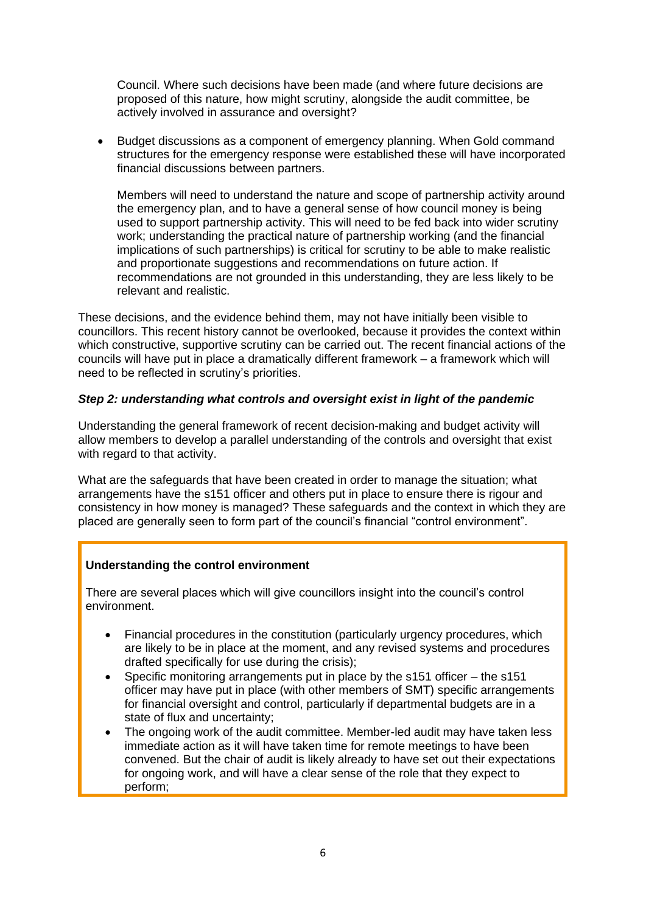Council. Where such decisions have been made (and where future decisions are proposed of this nature, how might scrutiny, alongside the audit committee, be actively involved in assurance and oversight?

• Budget discussions as a component of emergency planning. When Gold command structures for the emergency response were established these will have incorporated financial discussions between partners.

Members will need to understand the nature and scope of partnership activity around the emergency plan, and to have a general sense of how council money is being used to support partnership activity. This will need to be fed back into wider scrutiny work; understanding the practical nature of partnership working (and the financial implications of such partnerships) is critical for scrutiny to be able to make realistic and proportionate suggestions and recommendations on future action. If recommendations are not grounded in this understanding, they are less likely to be relevant and realistic.

These decisions, and the evidence behind them, may not have initially been visible to councillors. This recent history cannot be overlooked, because it provides the context within which constructive, supportive scrutiny can be carried out. The recent financial actions of the councils will have put in place a dramatically different framework – a framework which will need to be reflected in scrutiny's priorities.

### *Step 2: understanding what controls and oversight exist in light of the pandemic*

Understanding the general framework of recent decision-making and budget activity will allow members to develop a parallel understanding of the controls and oversight that exist with regard to that activity.

What are the safeguards that have been created in order to manage the situation; what arrangements have the s151 officer and others put in place to ensure there is rigour and consistency in how money is managed? These safeguards and the context in which they are placed are generally seen to form part of the council's financial "control environment".

### **Understanding the control environment**

There are several places which will give councillors insight into the council's control environment.

- Financial procedures in the constitution (particularly urgency procedures, which are likely to be in place at the moment, and any revised systems and procedures drafted specifically for use during the crisis);
- Specific monitoring arrangements put in place by the s151 officer the s151 officer may have put in place (with other members of SMT) specific arrangements for financial oversight and control, particularly if departmental budgets are in a state of flux and uncertainty;
- The ongoing work of the audit committee. Member-led audit may have taken less immediate action as it will have taken time for remote meetings to have been convened. But the chair of audit is likely already to have set out their expectations for ongoing work, and will have a clear sense of the role that they expect to perform;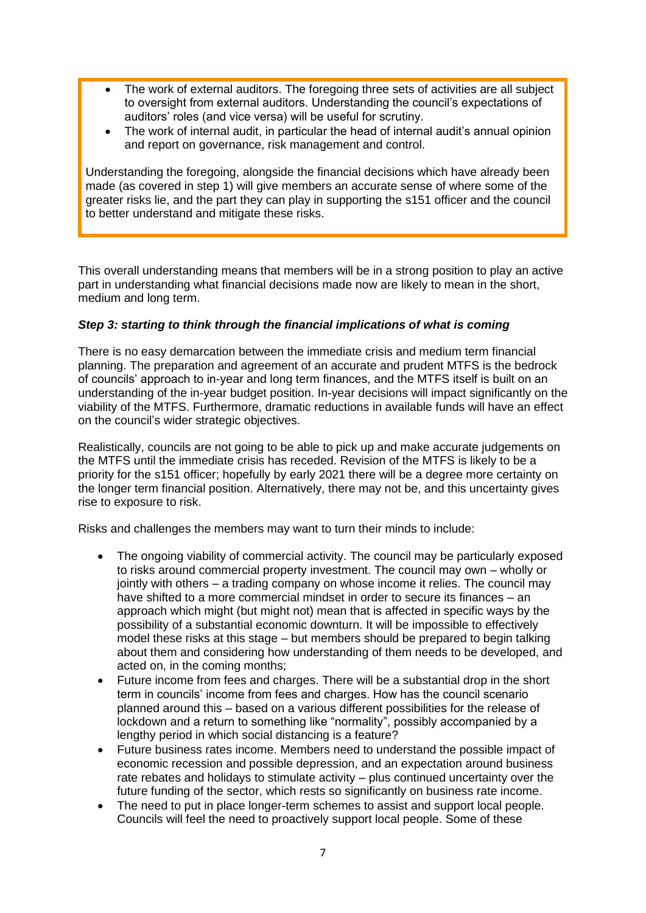- The work of external auditors. The foregoing three sets of activities are all subject to oversight from external auditors. Understanding the council's expectations of auditors' roles (and vice versa) will be useful for scrutiny.
- The work of internal audit, in particular the head of internal audit's annual opinion and report on governance, risk management and control.

Understanding the foregoing, alongside the financial decisions which have already been made (as covered in step 1) will give members an accurate sense of where some of the greater risks lie, and the part they can play in supporting the s151 officer and the council to better understand and mitigate these risks.

This overall understanding means that members will be in a strong position to play an active part in understanding what financial decisions made now are likely to mean in the short, medium and long term.

### *Step 3: starting to think through the financial implications of what is coming*

There is no easy demarcation between the immediate crisis and medium term financial planning. The preparation and agreement of an accurate and prudent MTFS is the bedrock of councils' approach to in-year and long term finances, and the MTFS itself is built on an understanding of the in-year budget position. In-year decisions will impact significantly on the viability of the MTFS. Furthermore, dramatic reductions in available funds will have an effect on the council's wider strategic objectives.

Realistically, councils are not going to be able to pick up and make accurate judgements on the MTFS until the immediate crisis has receded. Revision of the MTFS is likely to be a priority for the s151 officer; hopefully by early 2021 there will be a degree more certainty on the longer term financial position. Alternatively, there may not be, and this uncertainty gives rise to exposure to risk.

Risks and challenges the members may want to turn their minds to include:

- The ongoing viability of commercial activity. The council may be particularly exposed to risks around commercial property investment. The council may own – wholly or jointly with others – a trading company on whose income it relies. The council may have shifted to a more commercial mindset in order to secure its finances – an approach which might (but might not) mean that is affected in specific ways by the possibility of a substantial economic downturn. It will be impossible to effectively model these risks at this stage – but members should be prepared to begin talking about them and considering how understanding of them needs to be developed, and acted on, in the coming months;
- Future income from fees and charges. There will be a substantial drop in the short term in councils' income from fees and charges. How has the council scenario planned around this – based on a various different possibilities for the release of lockdown and a return to something like "normality", possibly accompanied by a lengthy period in which social distancing is a feature?
- Future business rates income. Members need to understand the possible impact of economic recession and possible depression, and an expectation around business rate rebates and holidays to stimulate activity – plus continued uncertainty over the future funding of the sector, which rests so significantly on business rate income.
- The need to put in place longer-term schemes to assist and support local people. Councils will feel the need to proactively support local people. Some of these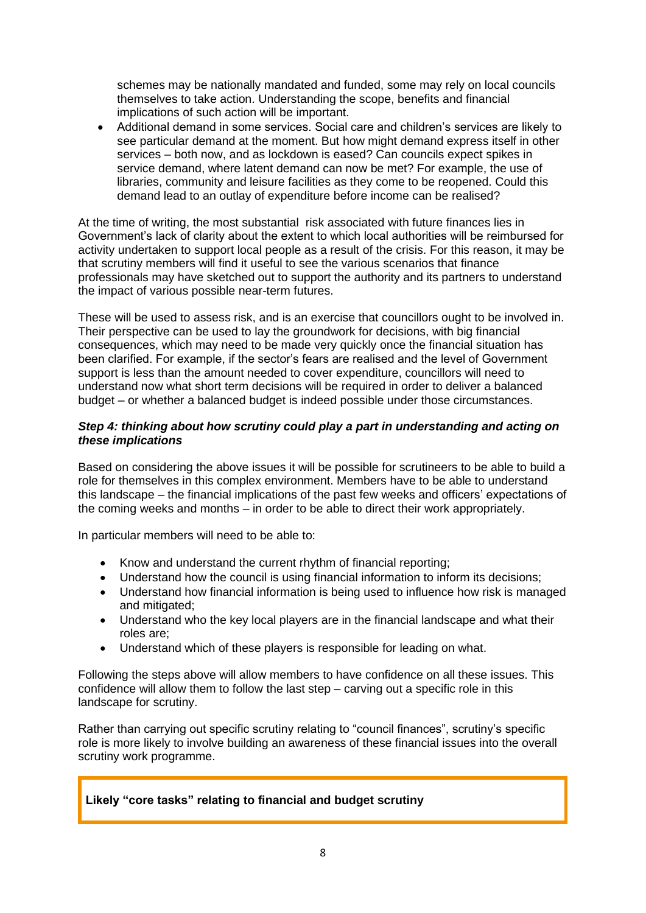schemes may be nationally mandated and funded, some may rely on local councils themselves to take action. Understanding the scope, benefits and financial implications of such action will be important.

• Additional demand in some services. Social care and children's services are likely to see particular demand at the moment. But how might demand express itself in other services – both now, and as lockdown is eased? Can councils expect spikes in service demand, where latent demand can now be met? For example, the use of libraries, community and leisure facilities as they come to be reopened. Could this demand lead to an outlay of expenditure before income can be realised?

At the time of writing, the most substantial risk associated with future finances lies in Government's lack of clarity about the extent to which local authorities will be reimbursed for activity undertaken to support local people as a result of the crisis. For this reason, it may be that scrutiny members will find it useful to see the various scenarios that finance professionals may have sketched out to support the authority and its partners to understand the impact of various possible near-term futures.

These will be used to assess risk, and is an exercise that councillors ought to be involved in. Their perspective can be used to lay the groundwork for decisions, with big financial consequences, which may need to be made very quickly once the financial situation has been clarified. For example, if the sector's fears are realised and the level of Government support is less than the amount needed to cover expenditure, councillors will need to understand now what short term decisions will be required in order to deliver a balanced budget – or whether a balanced budget is indeed possible under those circumstances.

### *Step 4: thinking about how scrutiny could play a part in understanding and acting on these implications*

Based on considering the above issues it will be possible for scrutineers to be able to build a role for themselves in this complex environment. Members have to be able to understand this landscape – the financial implications of the past few weeks and officers' expectations of the coming weeks and months – in order to be able to direct their work appropriately.

In particular members will need to be able to:

- Know and understand the current rhythm of financial reporting;
- Understand how the council is using financial information to inform its decisions;
- Understand how financial information is being used to influence how risk is managed and mitigated;
- Understand who the key local players are in the financial landscape and what their roles are;
- Understand which of these players is responsible for leading on what.

Following the steps above will allow members to have confidence on all these issues. This confidence will allow them to follow the last step – carving out a specific role in this landscape for scrutiny.

Rather than carrying out specific scrutiny relating to "council finances", scrutiny's specific role is more likely to involve building an awareness of these financial issues into the overall scrutiny work programme.

### **Likely "core tasks" relating to financial and budget scrutiny**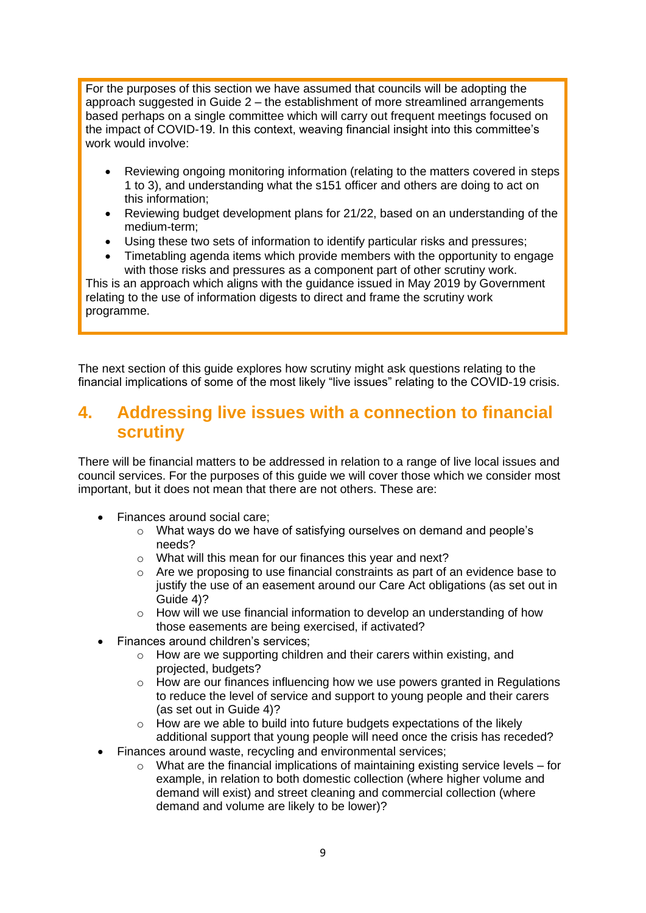For the purposes of this section we have assumed that councils will be adopting the approach suggested in Guide 2 – the establishment of more streamlined arrangements based perhaps on a single committee which will carry out frequent meetings focused on the impact of COVID-19. In this context, weaving financial insight into this committee's work would involve:

- Reviewing ongoing monitoring information (relating to the matters covered in steps 1 to 3), and understanding what the s151 officer and others are doing to act on this information;
- Reviewing budget development plans for 21/22, based on an understanding of the medium-term;
- Using these two sets of information to identify particular risks and pressures;
- Timetabling agenda items which provide members with the opportunity to engage with those risks and pressures as a component part of other scrutiny work.

This is an approach which aligns with the guidance issued in May 2019 by Government relating to the use of information digests to direct and frame the scrutiny work programme.

The next section of this guide explores how scrutiny might ask questions relating to the financial implications of some of the most likely "live issues" relating to the COVID-19 crisis.

### **4. Addressing live issues with a connection to financial scrutiny**

There will be financial matters to be addressed in relation to a range of live local issues and council services. For the purposes of this guide we will cover those which we consider most important, but it does not mean that there are not others. These are:

- Finances around social care:
	- o What ways do we have of satisfying ourselves on demand and people's needs?
	- o What will this mean for our finances this year and next?
	- o Are we proposing to use financial constraints as part of an evidence base to justify the use of an easement around our Care Act obligations (as set out in Guide 4)?
	- $\circ$  How will we use financial information to develop an understanding of how those easements are being exercised, if activated?
- Finances around children's services;
	- o How are we supporting children and their carers within existing, and projected, budgets?
	- $\circ$  How are our finances influencing how we use powers granted in Regulations to reduce the level of service and support to young people and their carers (as set out in Guide 4)?
	- o How are we able to build into future budgets expectations of the likely additional support that young people will need once the crisis has receded?
- Finances around waste, recycling and environmental services;
	- $\circ$  What are the financial implications of maintaining existing service levels for example, in relation to both domestic collection (where higher volume and demand will exist) and street cleaning and commercial collection (where demand and volume are likely to be lower)?